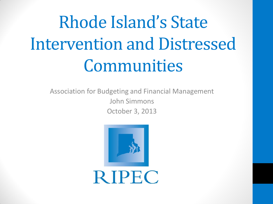# Rhode Island's State Intervention and Distressed Communities

Association for Budgeting and Financial Management John Simmons October 3, 2013

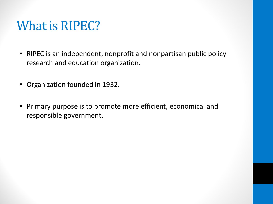## What is RIPEC?

- RIPEC is an independent, nonprofit and nonpartisan public policy research and education organization.
- Organization founded in 1932.
- Primary purpose is to promote more efficient, economical and responsible government.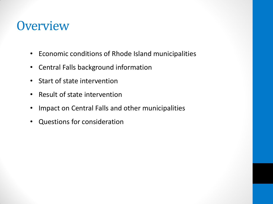#### **Overview**

- Economic conditions of Rhode Island municipalities
- Central Falls background information
- Start of state intervention
- Result of state intervention
- Impact on Central Falls and other municipalities
- Questions for consideration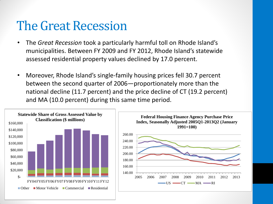## The Great Recession

- The *Great Recession* took a particularly harmful toll on Rhode Island's municipalities. Between FY 2009 and FY 2012, Rhode Island's statewide assessed residential property values declined by 17.0 percent.
- Moreover, Rhode Island's single-family housing prices fell 30.7 percent between the second quarter of 2006—proportionately more than the national decline (11.7 percent) and the price decline of CT (19.2 percent) and MA (10.0 percent) during this same time period.

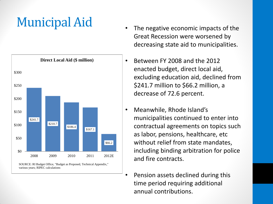# Municipal Aid



various years; RIPEC calculations

- The negative economic impacts of the Great Recession were worsened by decreasing state aid to municipalities.
- Between FY 2008 and the 2012 enacted budget, direct local aid, excluding education aid, declined from \$241.7 million to \$66.2 million, a decrease of 72.6 percent.
- Meanwhile, Rhode Island's municipalities continued to enter into contractual agreements on topics such as labor, pensions, healthcare, etc without relief from state mandates, including binding arbitration for police and fire contracts.
	- Pension assets declined during this time period requiring additional annual contributions.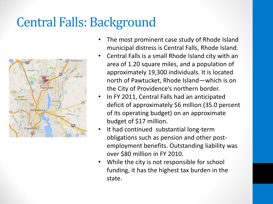# Central Falls: Background



- The most prominent case study of Rhode Island municipal distress is Central Falls, Rhode Island.
- Central Falls is a small Rhode Island city with an area of 1.20 square miles, and a population of approximately 19,300 individuals. It is located north of Pawtucket, Rhode Island—which is on the City of Providence's northern border.
- In FY 2011, Central Falls had an anticipated deficit of approximately \$6 million (35.0 percent of its operating budget) on an approximate budget of \$17 million.
- It had continued substantial long-term obligations such as pension and other postemployment benefits. Outstanding liability was over \$80 million in FY 2010.
- While the city is not responsible for school funding, it has the highest tax burden in the state.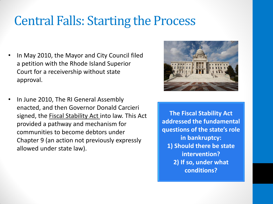## Central Falls: Starting the Process

- In May 2010, the Mayor and City Council filed a petition with the Rhode Island Superior Court for a receivership without state approval.
- In June 2010, The RI General Assembly enacted, and then Governor Donald Carcieri signed, the Fiscal Stability Act into law. This Act provided a pathway and mechanism for communities to become debtors under Chapter 9 (an action not previously expressly allowed under state law).



**The Fiscal Stability Act addressed the fundamental questions of the state's role in bankruptcy: 1) Should there be state intervention? 2) If so, under what conditions?**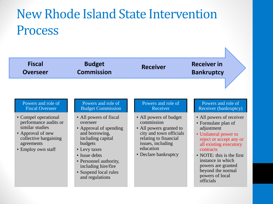# New Rhode Island State Intervention Process

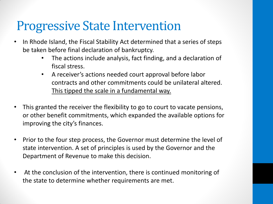## Progressive State Intervention

- In Rhode Island, the Fiscal Stability Act determined that a series of steps be taken before final declaration of bankruptcy.
	- The actions include analysis, fact finding, and a declaration of fiscal stress.
	- A receiver's actions needed court approval before labor contracts and other commitments could be unilateral altered. This tipped the scale in a fundamental way.
- This granted the receiver the flexibility to go to court to vacate pensions, or other benefit commitments, which expanded the available options for improving the city's finances.
- Prior to the four step process, the Governor must determine the level of state intervention. A set of principles is used by the Governor and the Department of Revenue to make this decision.
- At the conclusion of the intervention, there is continued monitoring of the state to determine whether requirements are met.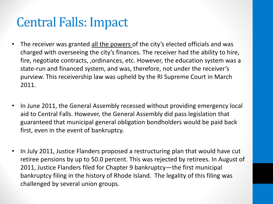# Central Falls: Impact

- The receiver was granted all the powers of the city's elected officials and was charged with overseeing the city's finances. The receiver had the ability to hire, fire, negotiate contracts, ,ordinances, etc. However, the education system was a state-run and financed system, and was, therefore, not under the receiver's purview. This receivership law was upheld by the RI Supreme Court in March 2011.
- In June 2011, the General Assembly recessed without providing emergency local aid to Central Falls. However, the General Assembly did pass legislation that guaranteed that municipal general obligation bondholders would be paid back first, even in the event of bankruptcy.
- In July 2011, Justice Flanders proposed a restructuring plan that would have cut retiree pensions by up to 50.0 percent. This was rejected by retirees. In August of 2011, Justice Flanders filed for Chapter 9 bankruptcy—the first municipal bankruptcy filing in the history of Rhode Island. The legality of this filing was challenged by several union groups.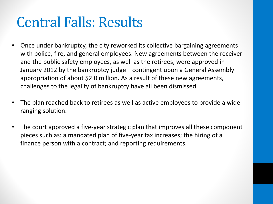# Central Falls: Results

- Once under bankruptcy, the city reworked its collective bargaining agreements with police, fire, and general employees. New agreements between the receiver and the public safety employees, as well as the retirees, were approved in January 2012 by the bankruptcy judge—contingent upon a General Assembly appropriation of about \$2.0 million. As a result of these new agreements, challenges to the legality of bankruptcy have all been dismissed.
- The plan reached back to retirees as well as active employees to provide a wide ranging solution.
- The court approved a five-year strategic plan that improves all these component pieces such as: a mandated plan of five-year tax increases; the hiring of a finance person with a contract; and reporting requirements.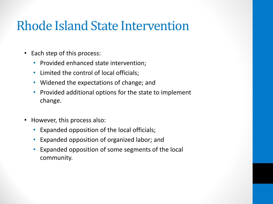## Rhode Island State Intervention

- Each step of this process:
	- Provided enhanced state intervention;
	- Limited the control of local officials;
	- Widened the expectations of change; and
	- Provided additional options for the state to implement change.
- However, this process also:
	- Expanded opposition of the local officials;
	- Expanded opposition of organized labor; and
	- Expanded opposition of some segments of the local community.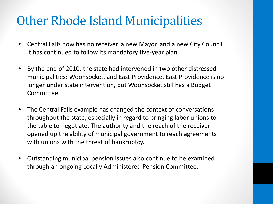## Other Rhode Island Municipalities

- Central Falls now has no receiver, a new Mayor, and a new City Council. It has continued to follow its mandatory five-year plan.
- By the end of 2010, the state had intervened in two other distressed municipalities: Woonsocket, and East Providence. East Providence is no longer under state intervention, but Woonsocket still has a Budget Committee.
- The Central Falls example has changed the context of conversations throughout the state, especially in regard to bringing labor unions to the table to negotiate. The authority and the reach of the receiver opened up the ability of municipal government to reach agreements with unions with the threat of bankruptcy.
- Outstanding municipal pension issues also continue to be examined through an ongoing Locally Administered Pension Committee.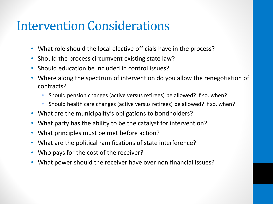#### Intervention Considerations

- What role should the local elective officials have in the process?
- Should the process circumvent existing state law?
- Should education be included in control issues?
- Where along the spectrum of intervention do you allow the renegotiation of contracts?
	- Should pension changes (active versus retirees) be allowed? If so, when?
	- Should health care changes (active versus retirees) be allowed? If so, when?
- What are the municipality's obligations to bondholders?
- What party has the ability to be the catalyst for intervention?
- What principles must be met before action?
- What are the political ramifications of state interference?
- Who pays for the cost of the receiver?
- What power should the receiver have over non financial issues?